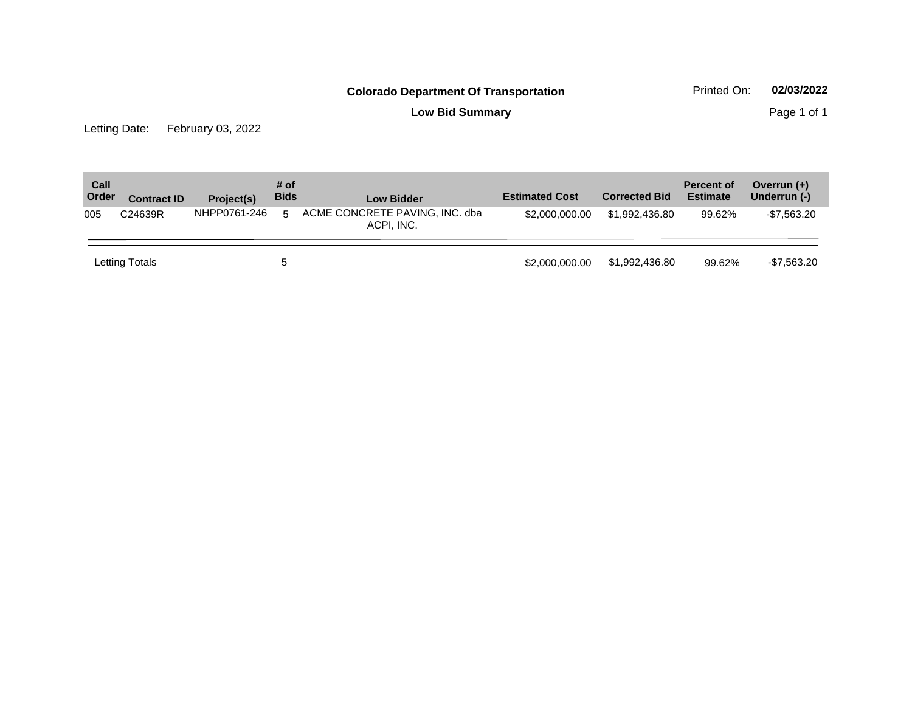**Low Bid Summary Page 1 of 1** 

Letting Date: February 03, 2022

| Call<br>Order | <b>Contract ID</b> | Project(s)   | # of<br><b>Bids</b> | <b>Low Bidder</b>                            | <b>Estimated Cost</b> | <b>Corrected Bid</b> | <b>Percent of</b><br><b>Estimate</b> | Overrun $(+)$<br>Underrun (-) |
|---------------|--------------------|--------------|---------------------|----------------------------------------------|-----------------------|----------------------|--------------------------------------|-------------------------------|
| 005           | C24639R            | NHPP0761-246 | 5                   | ACME CONCRETE PAVING, INC. dba<br>ACPI. INC. | \$2,000,000,00        | \$1.992.436.80       | 99.62%                               | $-$7,563.20$                  |
|               | Letting Totals     |              | 5                   |                                              | \$2,000,000,00        | \$1,992,436,80       | 99.62%                               | $-$7,563.20$                  |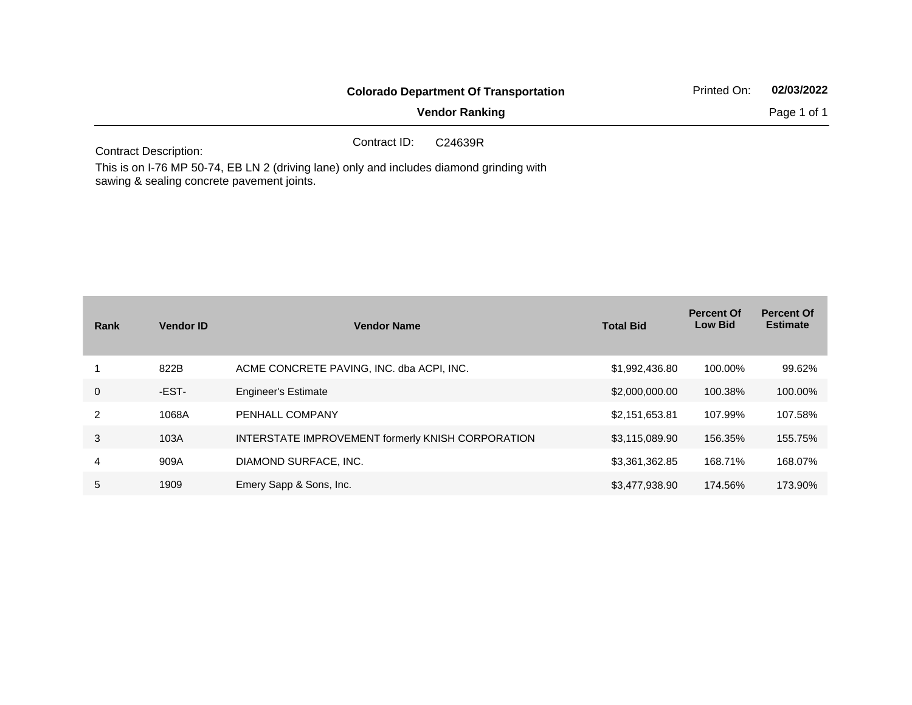|                              | <b>Colorado Department Of Transportation</b> | Printed On:           | 02/03/2022 |             |
|------------------------------|----------------------------------------------|-----------------------|------------|-------------|
|                              |                                              | <b>Vendor Ranking</b> |            | Page 1 of 1 |
| <b>Contract Description:</b> | Contract ID:                                 | C24639R               |            |             |

This is on I-76 MP 50-74, EB LN 2 (driving lane) only and includes diamond grinding with sawing & sealing concrete pavement joints.

| Rank           | <b>Vendor ID</b> | <b>Vendor Name</b>                                | <b>Total Bid</b> | <b>Percent Of</b><br><b>Low Bid</b> | <b>Percent Of</b><br><b>Estimate</b> |
|----------------|------------------|---------------------------------------------------|------------------|-------------------------------------|--------------------------------------|
|                | 822B             | ACME CONCRETE PAVING, INC. dba ACPI, INC.         | \$1,992,436.80   | 100.00%                             | 99.62%                               |
| 0              | -EST-            | <b>Engineer's Estimate</b>                        | \$2,000,000.00   | 100.38%                             | 100.00%                              |
| $\overline{2}$ | 1068A            | PENHALL COMPANY                                   | \$2,151,653.81   | 107.99%                             | 107.58%                              |
| 3              | 103A             | INTERSTATE IMPROVEMENT formerly KNISH CORPORATION | \$3,115,089.90   | 156.35%                             | 155.75%                              |
| 4              | 909A             | DIAMOND SURFACE, INC.                             | \$3,361,362.85   | 168.71%                             | 168.07%                              |
| 5              | 1909             | Emery Sapp & Sons, Inc.                           | \$3,477,938.90   | 174.56%                             | 173.90%                              |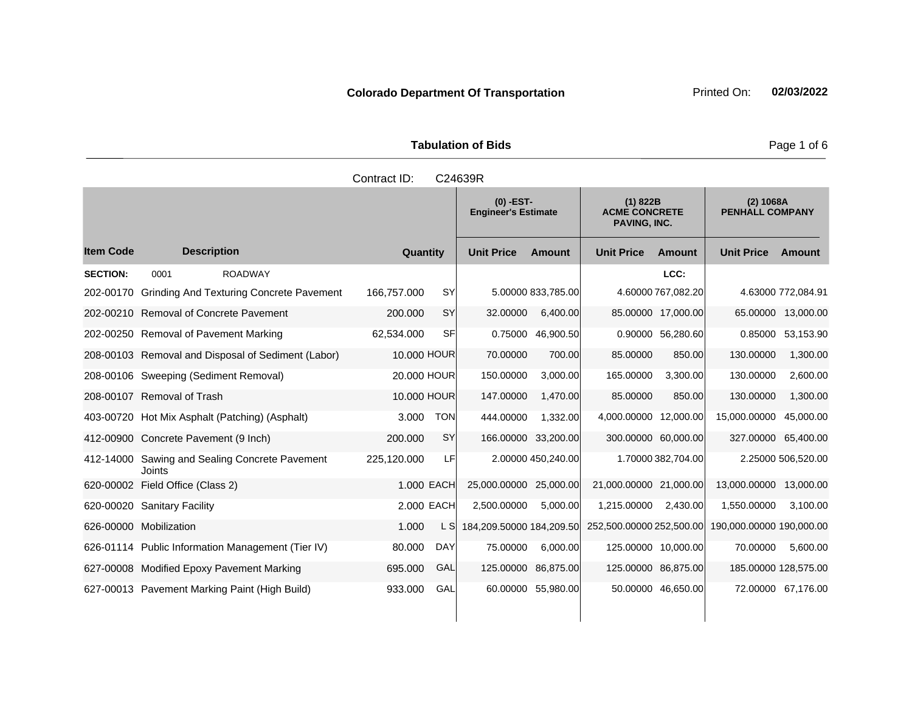|                    | <b>Tabulation of Bids</b> |                                           |                                                         |                                     |  |  |
|--------------------|---------------------------|-------------------------------------------|---------------------------------------------------------|-------------------------------------|--|--|
|                    | Contract ID:              | C24639R                                   |                                                         |                                     |  |  |
|                    |                           | $(0)$ -EST-<br><b>Engineer's Estimate</b> | (1) 822B<br><b>ACME CONCRETE</b><br><b>PAVING, INC.</b> | (2) 1068A<br><b>PENHALL COMPANY</b> |  |  |
| <b>Description</b> | Quantity                  | <b>Unit Price</b><br><b>Amount</b>        | <b>Unit Price</b><br>Amount                             | <b>Unit Price</b><br>Amount         |  |  |

|                 |                                       |                                                    |             |            |                          |                     | PAVING, INC.             |                     |                          |                    |
|-----------------|---------------------------------------|----------------------------------------------------|-------------|------------|--------------------------|---------------------|--------------------------|---------------------|--------------------------|--------------------|
| ltem Code       | <b>Description</b>                    |                                                    | Quantity    |            | <b>Unit Price</b>        | <b>Amount</b>       | <b>Unit Price</b>        | <b>Amount</b>       | <b>Unit Price</b>        | Amount             |
| <b>SECTION:</b> | 0001                                  | <b>ROADWAY</b>                                     |             |            |                          |                     |                          | LCC:                |                          |                    |
|                 |                                       | 202-00170 Grinding And Texturing Concrete Pavement | 166,757.000 | <b>SY</b>  |                          | 5.00000 833,785.00  |                          | 4.60000 767,082.20  |                          | 4.63000 772,084.91 |
|                 |                                       | 202-00210 Removal of Concrete Pavement             | 200.000     | SY         | 32.00000                 | 6,400.00            |                          | 85.00000 17,000.00  |                          | 65.00000 13,000.00 |
|                 | 202-00250 Removal of Pavement Marking |                                                    | 62,534.000  | <b>SF</b>  |                          | 0.75000 46,900.50   |                          | 0.90000 56,280.60   | 0.85000                  | 53,153.90          |
|                 |                                       | 208-00103 Removal and Disposal of Sediment (Labor) | 10.000 HOUR |            | 70.00000                 | 700.00              | 85.00000                 | 850.00              | 130.00000                | 1,300.00           |
|                 | 208-00106 Sweeping (Sediment Removal) |                                                    | 20,000 HOUR |            | 150.00000                | 3,000.00            | 165.00000                | 3,300.00            | 130.00000                | 2,600.00           |
|                 | 208-00107 Removal of Trash            |                                                    | 10,000 HOUR |            | 147.00000                | 1,470.00            | 85.00000                 | 850.00              | 130.00000                | 1,300.00           |
|                 |                                       | 403-00720 Hot Mix Asphalt (Patching) (Asphalt)     | 3.000       | <b>TON</b> | 444.00000                | 1,332.00            | 4,000.00000 12,000.00    |                     | 15,000.00000             | 45,000.00          |
|                 | 412-00900 Concrete Pavement (9 Inch)  |                                                    | 200.000     | <b>SY</b>  |                          | 166.00000 33,200.00 |                          | 300.00000 60,000.00 | 327.00000                | 65,400.00          |
|                 | Joints                                | 412-14000 Sawing and Sealing Concrete Pavement     | 225,120.000 | LF         |                          | 2.00000 450,240.00  |                          | 1.70000 382,704.00  |                          | 2.25000 506,520.00 |
|                 | 620-00002 Field Office (Class 2)      |                                                    |             | 1.000 EACH | 25,000.00000 25,000.00   |                     | 21,000.00000 21,000.00   |                     | 13,000.00000 13,000.00   |                    |
|                 | 620-00020 Sanitary Facility           |                                                    |             | 2.000 EACH | 2,500.00000              | 5,000.00            | 1,215.00000              | 2,430.00            | 1,550.00000              | 3,100.00           |
|                 | 626-00000 Mobilization                |                                                    | 1.000       | L SI       | 184,209.50000 184,209.50 |                     | 252,500.00000 252,500.00 |                     | 190,000.00000 190,000.00 |                    |
|                 |                                       | 626-01114 Public Information Management (Tier IV)  | 80.000      | <b>DAY</b> | 75.00000                 | 6,000.00            |                          | 125.00000 10,000.00 | 70.00000                 | 5,600.00           |
|                 |                                       | 627-00008 Modified Epoxy Pavement Marking          | 695.000     | GAL        |                          | 125.00000 86,875.00 |                          | 125.00000 86,875.00 | 185.00000 128,575.00     |                    |
|                 |                                       | 627-00013 Pavement Marking Paint (High Build)      | 933.000     | GAL        |                          | 60.00000 55,980.00  |                          | 50.00000 46,650.00  |                          | 72.00000 67,176.00 |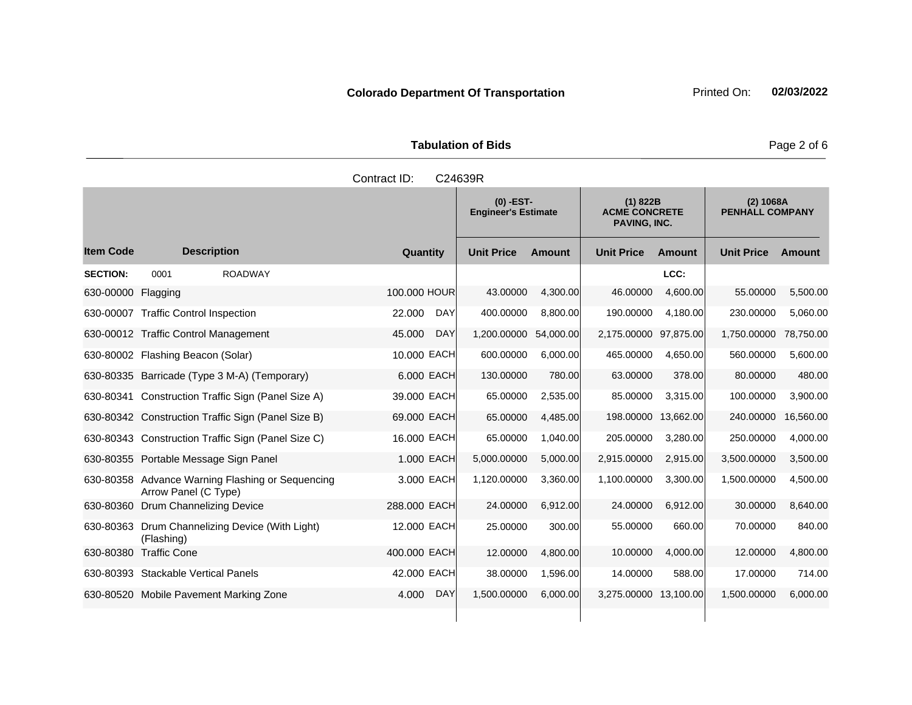**Tabulation of Bids** Page 2 of 6

|                    |                                                                          | Contract ID:         | C24639R                                   |               |                                                         |           |                                     |           |
|--------------------|--------------------------------------------------------------------------|----------------------|-------------------------------------------|---------------|---------------------------------------------------------|-----------|-------------------------------------|-----------|
|                    |                                                                          |                      | $(0)$ -EST-<br><b>Engineer's Estimate</b> |               | (1) 822B<br><b>ACME CONCRETE</b><br><b>PAVING, INC.</b> |           | (2) 1068A<br><b>PENHALL COMPANY</b> |           |
| ltem Code          | <b>Description</b>                                                       | Quantity             | <b>Unit Price</b>                         | <b>Amount</b> | <b>Unit Price</b>                                       | Amount    | <b>Unit Price</b>                   | Amount    |
| <b>SECTION:</b>    | 0001<br><b>ROADWAY</b>                                                   |                      |                                           |               |                                                         | LCC:      |                                     |           |
| 630-00000 Flagging |                                                                          | 100.000 HOUR         | 43.00000                                  | 4,300.00      | 46.00000                                                | 4,600.00  | 55.00000                            | 5,500.00  |
|                    | 630-00007 Traffic Control Inspection                                     | DAY<br>22.000        | 400.00000                                 | 8,800.00      | 190.00000                                               | 4,180.00  | 230.00000                           | 5,060.00  |
|                    | 630-00012 Traffic Control Management                                     | 45.000<br><b>DAY</b> | 1,200.00000                               | 54,000.00     | 2,175.00000 97,875.00                                   |           | 1,750.00000                         | 78,750.00 |
|                    | 630-80002 Flashing Beacon (Solar)                                        | 10.000 EACH          | 600.00000                                 | 6,000.00      | 465.00000                                               | 4,650.00  | 560.00000                           | 5,600.00  |
|                    | 630-80335 Barricade (Type 3 M-A) (Temporary)                             | 6.000 EACH           | 130.00000                                 | 780.00        | 63.00000                                                | 378.00    | 80.00000                            | 480.00    |
|                    | 630-80341 Construction Traffic Sign (Panel Size A)                       | 39.000 EACH          | 65.00000                                  | 2,535.00      | 85.00000                                                | 3,315.00  | 100.00000                           | 3,900.00  |
|                    | 630-80342 Construction Traffic Sign (Panel Size B)                       | 69.000 EACH          | 65.00000                                  | 4,485.00      | 198.00000                                               | 13,662.00 | 240.00000                           | 16,560.00 |
|                    | 630-80343 Construction Traffic Sign (Panel Size C)                       | 16.000 EACH          | 65.00000                                  | 1,040.00      | 205.00000                                               | 3,280.00  | 250.00000                           | 4,000.00  |
|                    | 630-80355 Portable Message Sign Panel                                    | 1.000 EACH           | 5,000.00000                               | 5,000.00      | 2,915.00000                                             | 2,915.00  | 3,500.00000                         | 3,500.00  |
|                    | 630-80358 Advance Warning Flashing or Sequencing<br>Arrow Panel (C Type) | 3.000 EACH           | 1,120.00000                               | 3,360.00      | 1,100.00000                                             | 3,300.00  | 1,500.00000                         | 4,500.00  |
|                    | 630-80360 Drum Channelizing Device                                       | 288,000 EACH         | 24.00000                                  | 6,912.00      | 24,00000                                                | 6,912.00  | 30.00000                            | 8,640.00  |

630-80380 Traffic Cone 400.000 EACH 12.00000 4,800.00 10.00000 4,000.00 12.00000 4,800.00 630-80393 Stackable Vertical Panels 42.000 EACH 38.00000 1,596.00 14.00000 588.00 17.00000 714.00 630-80520 Mobile Pavement Marking Zone 4.000 DAY 1,500.00000 6,000.00 3,275.00000 13,100.00 1,500.00000 6,000.00

12.000 EACH 25.00000 300.00 55.00000 660.00 70.00000 840.00

630-80363 Drum Channelizing Device (With Light)

(Flashing)

## **Colorado Department Of Transportation** Printed On: 02/03/2022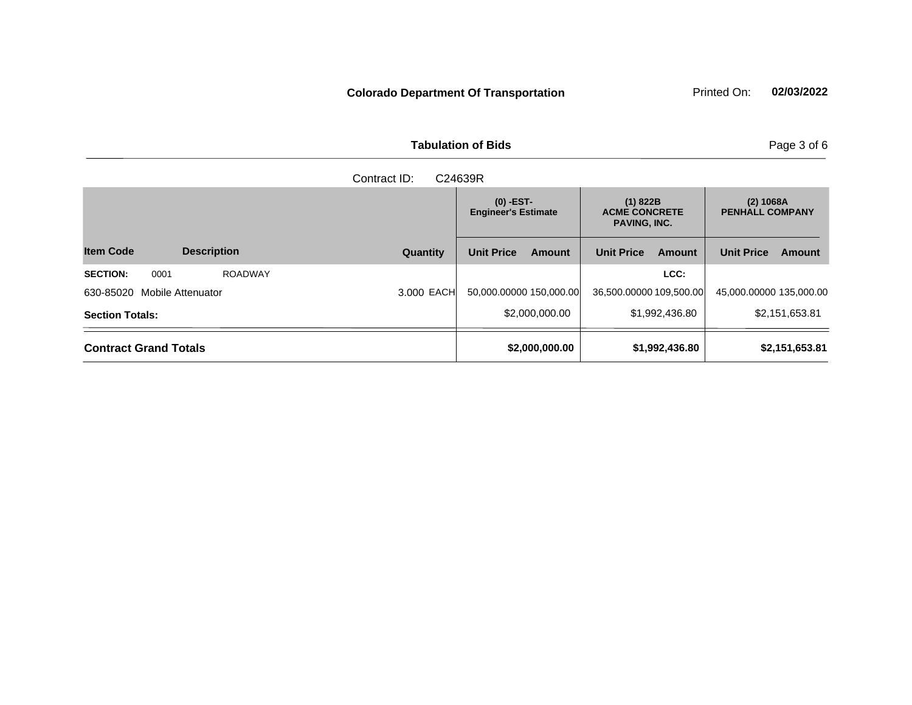**Tabulation of Bids Page 3 of 6** 

|                                           |            | $(0)$ -EST-<br><b>Engineer's Estimate</b> | (1) 822B<br><b>ACME CONCRETE</b><br><b>PAVING, INC.</b> | (2) 1068A<br><b>PENHALL COMPANY</b> |  |
|-------------------------------------------|------------|-------------------------------------------|---------------------------------------------------------|-------------------------------------|--|
| <b>Item Code</b><br><b>Description</b>    | Quantity   | <b>Unit Price</b><br>Amount               | <b>Unit Price</b><br>Amount                             | <b>Unit Price</b><br><b>Amount</b>  |  |
| <b>SECTION:</b><br><b>ROADWAY</b><br>0001 |            |                                           | LCC:                                                    |                                     |  |
| 630-85020<br>Mobile Attenuator            | 3.000 EACH | 50,000.00000 150,000.00                   | 36,500.00000 109,500.00                                 | 45,000.00000 135,000.00             |  |
| <b>Section Totals:</b>                    |            | \$2,000,000.00                            | \$1,992,436.80                                          | \$2,151,653.81                      |  |
| <b>Contract Grand Totals</b>              |            | \$2,000,000.00                            | \$1,992,436.80                                          | \$2,151,653.81                      |  |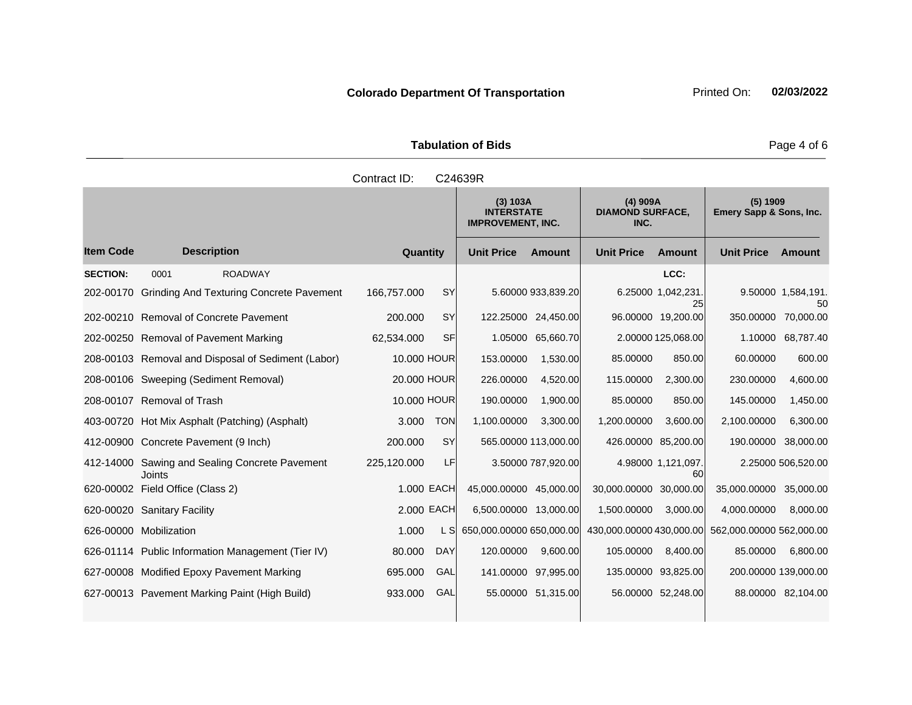| <b>Tabulation of Bids</b> | Page 4 of 6                                               |                                               |                                     |
|---------------------------|-----------------------------------------------------------|-----------------------------------------------|-------------------------------------|
| Contract ID:              | C24639R                                                   |                                               |                                     |
|                           | (3) 103A<br><b>INTERSTATE</b><br><b>IMPROVEMENT, INC.</b> | $(4)$ 909A<br><b>DIAMOND SURFACE,</b><br>INC. | (5) 1909<br>Emery Sapp & Sons, Inc. |

|                  |                                                    |             |            | (3) 103A<br><b>INTERSTATE</b><br><b>IMPROVEMENT, INC.</b> |                      | $(4)$ 909A<br><b>DIAMOND SURFACE,</b><br>INC. |                          | $(5)$ 1909<br>Emery Sapp & Sons, Inc.             |                          |
|------------------|----------------------------------------------------|-------------|------------|-----------------------------------------------------------|----------------------|-----------------------------------------------|--------------------------|---------------------------------------------------|--------------------------|
| <b>Item Code</b> | <b>Description</b>                                 | Quantity    |            | <b>Unit Price</b>                                         | <b>Amount</b>        | <b>Unit Price</b>                             | <b>Amount</b>            | <b>Unit Price</b>                                 | <b>Amount</b>            |
| <b>SECTION:</b>  | <b>ROADWAY</b><br>0001                             |             |            |                                                           |                      |                                               | LCC:                     |                                                   |                          |
| 202-00170        | <b>Grinding And Texturing Concrete Pavement</b>    | 166,757.000 | <b>SY</b>  |                                                           | 5.60000 933,839.20   |                                               | 6.25000 1,042,231.<br>25 |                                                   | 9.50000 1,584,191.<br>50 |
|                  | 202-00210 Removal of Concrete Pavement             | 200.000     | <b>SY</b>  |                                                           | 122.25000 24,450.00  |                                               | 96.00000 19,200.00       | 350,00000                                         | 70.000.00                |
|                  | 202-00250 Removal of Pavement Marking              | 62,534.000  | <b>SF</b>  | 1.05000                                                   | 65,660.70            |                                               | 2.00000 125,068.00       | 1.10000                                           | 68,787.40                |
|                  | 208-00103 Removal and Disposal of Sediment (Labor) | 10,000 HOUR |            | 153.00000                                                 | 1,530.00             | 85.00000                                      | 850.00                   | 60.00000                                          | 600.00                   |
|                  | 208-00106 Sweeping (Sediment Removal)              | 20.000 HOUR |            | 226.00000                                                 | 4,520.00             | 115.00000                                     | 2,300.00                 | 230.00000                                         | 4,600.00                 |
|                  | 208-00107 Removal of Trash                         | 10.000 HOUR |            | 190.00000                                                 | 1,900.00             | 85.00000                                      | 850.00                   | 145.00000                                         | 1,450.00                 |
|                  | 403-00720 Hot Mix Asphalt (Patching) (Asphalt)     | 3.000       | <b>TON</b> | 1,100.00000                                               | 3,300.00             | 1,200.00000                                   | 3,600.00                 | 2,100.00000                                       | 6,300.00                 |
|                  | 412-00900 Concrete Pavement (9 Inch)               | 200.000     | <b>SY</b>  |                                                           | 565.00000 113,000.00 |                                               | 426.00000 85,200.00      | 190.00000                                         | 38,000.00                |
| 412-14000        | Sawing and Sealing Concrete Pavement<br>Joints     | 225,120.000 | LF         |                                                           | 3.50000 787,920.00   |                                               | 4.98000 1,121,097.<br>60 |                                                   | 2.25000 506,520.00       |
|                  | 620-00002 Field Office (Class 2)                   |             | 1.000 EACH | 45,000.00000 45,000.00                                    |                      | 30,000.00000 30,000.00                        |                          | 35,000.00000                                      | 35,000.00                |
|                  | 620-00020 Sanitary Facility                        |             | 2.000 EACH | 6,500.00000 13,000.00                                     |                      | 1,500.00000                                   | 3,000.00                 | 4,000.00000                                       | 8,000.00                 |
|                  | 626-00000 Mobilization                             | 1.000       | L SI       | 650,000.00000 650,000.00                                  |                      |                                               |                          | 430,000.00000 430,000.00 562,000.00000 562,000.00 |                          |
|                  | 626-01114 Public Information Management (Tier IV)  | 80.000      | <b>DAY</b> | 120.00000                                                 | 9,600.00             | 105.00000                                     | 8,400.00                 | 85.00000                                          | 6,800.00                 |
|                  | 627-00008 Modified Epoxy Pavement Marking          | 695.000     | GAL        | 141.00000                                                 | 97,995.00            | 135.00000                                     | 93,825.00                | 200.00000 139,000.00                              |                          |
|                  | 627-00013 Pavement Marking Paint (High Build)      | 933.000     | GAL        |                                                           | 55.00000 51,315.00   |                                               | 56.00000 52,248.00       |                                                   | 88.00000 82,104.00       |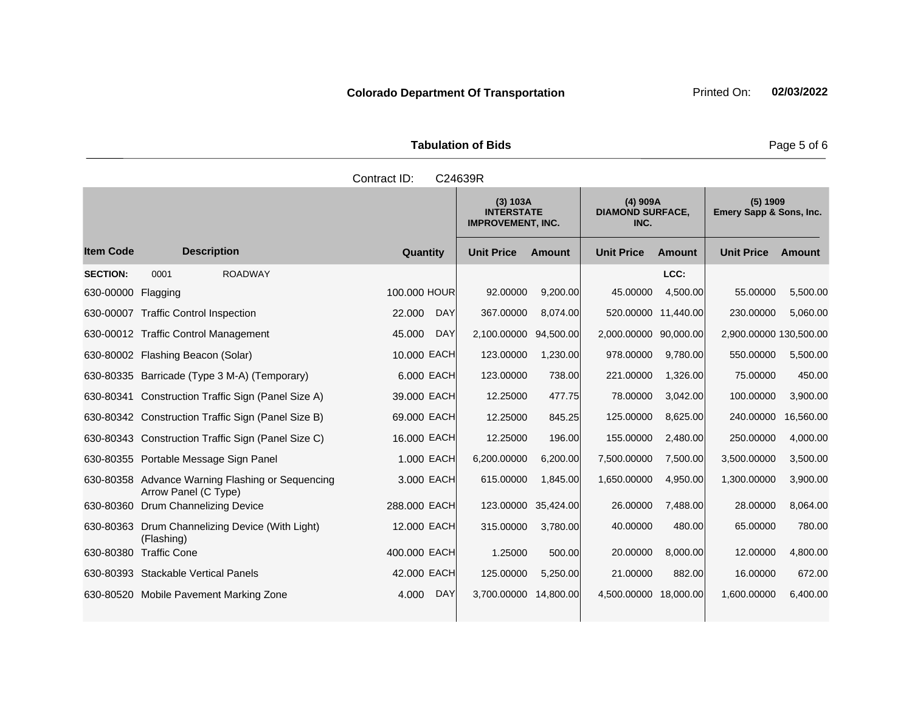**Tabulation of Bids Page 5 of 6** 

|                    | Contract ID:<br>C24639R |                                                           |                                               |       |  |
|--------------------|-------------------------|-----------------------------------------------------------|-----------------------------------------------|-------|--|
|                    |                         | (3) 103A<br><b>INTERSTATE</b><br><b>IMPROVEMENT, INC.</b> | $(4)$ 909A<br><b>DIAMOND SURFACE,</b><br>INC. | Emery |  |
| <b>Description</b> | Quantity                | <b>Unit Price</b><br><b>Amount</b>                        | <b>Unit Price</b><br>Amount                   | Unit  |  |
| <b>ROADWAY</b>     |                         |                                                           | LCC:                                          |       |  |

|                  |                                                                |                      | (3) 103A<br><b>INTERSTATE</b><br><b>IMPROVEMENT, INC.</b> |           | $(4)$ 909A<br><b>DIAMOND SURFACE,</b><br>INC. |           | $(5)$ 1909<br>Emery Sapp & Sons, Inc. |               |
|------------------|----------------------------------------------------------------|----------------------|-----------------------------------------------------------|-----------|-----------------------------------------------|-----------|---------------------------------------|---------------|
| <b>Item Code</b> | <b>Description</b>                                             | Quantity             | <b>Unit Price</b>                                         | Amount    | <b>Unit Price</b>                             | Amount    | <b>Unit Price</b>                     | <b>Amount</b> |
| <b>SECTION:</b>  | 0001<br><b>ROADWAY</b>                                         |                      |                                                           |           |                                               | LCC:      |                                       |               |
| 630-00000        | Flagging                                                       | 100,000 HOUR         | 92.00000                                                  | 9,200.00  | 45.00000                                      | 4,500.00  | 55.00000                              | 5,500.00      |
| 630-00007        | <b>Traffic Control Inspection</b>                              | 22.000<br><b>DAY</b> | 367.00000                                                 | 8,074.00  | 520.00000                                     | 11,440.00 | 230.00000                             | 5,060.00      |
|                  | 630-00012 Traffic Control Management                           | <b>DAY</b><br>45.000 | 2,100.00000 94,500.00                                     |           | 2,000.00000 90,000.00                         |           | 2,900.00000 130,500.00                |               |
|                  | 630-80002 Flashing Beacon (Solar)                              | 10.000 EACH          | 123.00000                                                 | 1,230.00  | 978.00000                                     | 9,780.00  | 550.00000                             | 5,500.00      |
|                  | 630-80335 Barricade (Type 3 M-A) (Temporary)                   | 6.000 EACH           | 123.00000                                                 | 738.00    | 221.00000                                     | 1,326.00  | 75.00000                              | 450.00        |
|                  | 630-80341 Construction Traffic Sign (Panel Size A)             | 39.000 EACH          | 12.25000                                                  | 477.75    | 78.00000                                      | 3,042.00  | 100.00000                             | 3,900.00      |
|                  | 630-80342 Construction Traffic Sign (Panel Size B)             | 69.000 EACH          | 12.25000                                                  | 845.25    | 125.00000                                     | 8,625.00  | 240.00000                             | 16,560.00     |
|                  | 630-80343 Construction Traffic Sign (Panel Size C)             | 16.000 EACH          | 12.25000                                                  | 196.00    | 155.00000                                     | 2,480.00  | 250.00000                             | 4,000.00      |
|                  | 630-80355 Portable Message Sign Panel                          | 1.000 EACH           | 6,200.00000                                               | 6,200.00  | 7,500.00000                                   | 7,500.00  | 3,500.00000                           | 3,500.00      |
| 630-80358        | Advance Warning Flashing or Sequencing<br>Arrow Panel (C Type) | 3.000 EACH           | 615.00000                                                 | 1,845.00  | 1,650.00000                                   | 4,950.00  | 1,300.00000                           | 3,900.00      |
| 630-80360        | <b>Drum Channelizing Device</b>                                | 288.000 EACH         | 123.00000                                                 | 35,424.00 | 26.00000                                      | 7,488.00  | 28.00000                              | 8,064.00      |
| 630-80363        | Drum Channelizing Device (With Light)<br>(Flashing)            | 12.000 EACH          | 315.00000                                                 | 3,780.00  | 40.00000                                      | 480.00    | 65.00000                              | 780.00        |
| 630-80380        | <b>Traffic Cone</b>                                            | 400.000 EACH         | 1.25000                                                   | 500.00    | 20.00000                                      | 8,000.00  | 12.00000                              | 4,800.00      |
|                  | 630-80393 Stackable Vertical Panels                            | 42.000 EACH          | 125.00000                                                 | 5,250.00  | 21.00000                                      | 882.00    | 16.00000                              | 672.00        |
|                  | 630-80520 Mobile Pavement Marking Zone                         | <b>DAY</b><br>4.000  | 3,700.00000                                               | 14,800.00 | 4,500.00000 18,000.00                         |           | 1,600.00000                           | 6,400.00      |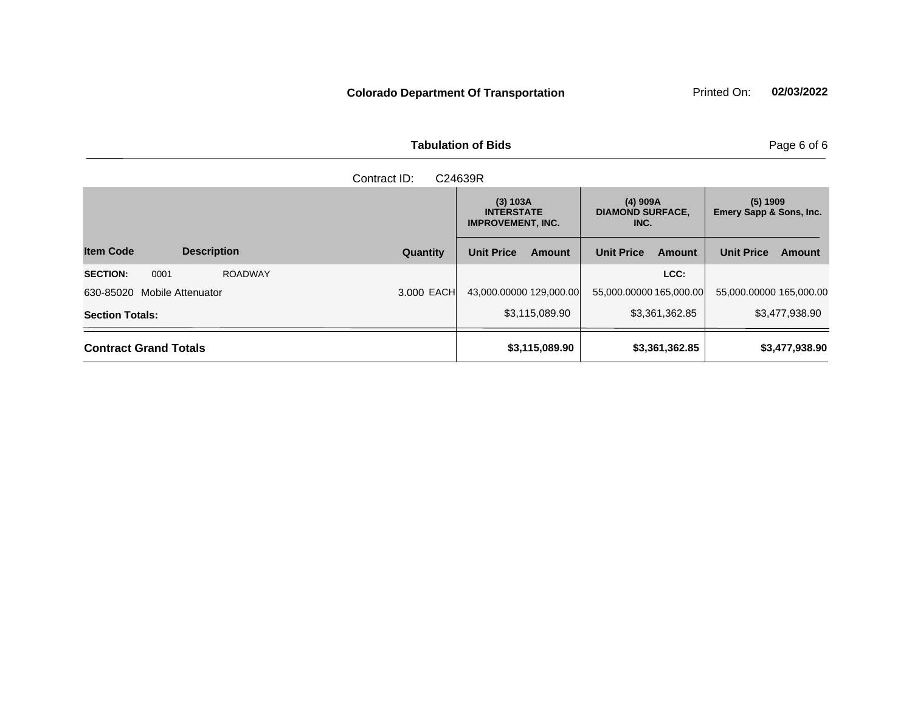| <b>Tabulation of Bids</b> | Page 6 of 6 |
|---------------------------|-------------|

|                                           | C24639R    |                                                           |                                               |                                     |  |
|-------------------------------------------|------------|-----------------------------------------------------------|-----------------------------------------------|-------------------------------------|--|
|                                           |            | (3) 103A<br><b>INTERSTATE</b><br><b>IMPROVEMENT, INC.</b> | $(4)$ 909A<br><b>DIAMOND SURFACE,</b><br>INC. | (5) 1909<br>Emery Sapp & Sons, Inc. |  |
| <b>Item Code</b><br><b>Description</b>    | Quantity   | <b>Unit Price</b><br><b>Amount</b>                        | <b>Unit Price</b><br><b>Amount</b>            | <b>Unit Price</b><br>Amount         |  |
| <b>SECTION:</b><br>0001<br><b>ROADWAY</b> |            |                                                           | LCC:                                          |                                     |  |
| 630-85020 Mobile Attenuator               | 3,000 EACH | 43,000.00000 129,000.00                                   | 55,000.00000 165,000.00                       | 55,000.00000 165,000.00             |  |
| <b>Section Totals:</b>                    |            | \$3,115,089.90                                            | \$3,361,362.85                                | \$3,477,938.90                      |  |
| <b>Contract Grand Totals</b>              |            | \$3,115,089.90                                            | \$3,361,362.85                                | \$3,477,938.90                      |  |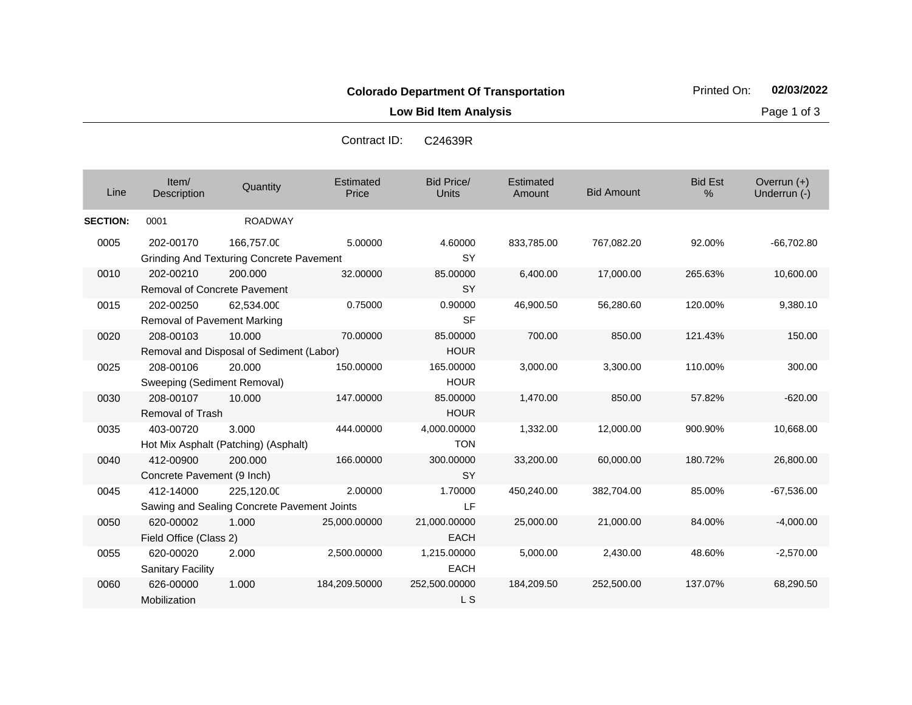**Low Bid Item Analysis Page 1 of 3** 

| Contract ID: | C24639R |
|--------------|---------|
|              |         |

| Line            | Item/<br>Description                             | Quantity                                                      | Estimated<br>Price | <b>Bid Price/</b><br><b>Units</b> | Estimated<br>Amount | <b>Bid Amount</b> | <b>Bid Est</b><br>$\%$ | Overrun $(+)$<br>Underrun (-) |
|-----------------|--------------------------------------------------|---------------------------------------------------------------|--------------------|-----------------------------------|---------------------|-------------------|------------------------|-------------------------------|
| <b>SECTION:</b> | 0001                                             | <b>ROADWAY</b>                                                |                    |                                   |                     |                   |                        |                               |
| 0005            | 202-00170                                        | 166,757.00<br><b>Grinding And Texturing Concrete Pavement</b> | 5.00000            | 4.60000<br><b>SY</b>              | 833,785.00          | 767,082.20        | 92.00%                 | $-66,702.80$                  |
| 0010            | 202-00210<br><b>Removal of Concrete Pavement</b> | 200,000                                                       | 32.00000           | 85.00000<br><b>SY</b>             | 6,400.00            | 17,000.00         | 265.63%                | 10,600.00                     |
| 0015            | 202-00250<br>Removal of Pavement Marking         | 62,534.000                                                    | 0.75000            | 0.90000<br><b>SF</b>              | 46,900.50           | 56,280.60         | 120.00%                | 9,380.10                      |
| 0020            | 208-00103                                        | 10.000<br>Removal and Disposal of Sediment (Labor)            | 70.00000           | 85.00000<br><b>HOUR</b>           | 700.00              | 850.00            | 121.43%                | 150.00                        |
| 0025            | 208-00106<br>Sweeping (Sediment Removal)         | 20.000                                                        | 150.00000          | 165.00000<br><b>HOUR</b>          | 3,000.00            | 3,300.00          | 110.00%                | 300.00                        |
| 0030            | 208-00107<br><b>Removal of Trash</b>             | 10.000                                                        | 147.00000          | 85.00000<br><b>HOUR</b>           | 1,470.00            | 850.00            | 57.82%                 | $-620.00$                     |
| 0035            | 403-00720                                        | 3.000<br>Hot Mix Asphalt (Patching) (Asphalt)                 | 444.00000          | 4,000.00000<br><b>TON</b>         | 1,332.00            | 12,000.00         | 900.90%                | 10,668.00                     |
| 0040            | 412-00900<br>Concrete Pavement (9 Inch)          | 200,000                                                       | 166.00000          | 300.00000<br><b>SY</b>            | 33,200.00           | 60,000.00         | 180.72%                | 26,800.00                     |
| 0045            | 412-14000                                        | 225,120.00<br>Sawing and Sealing Concrete Pavement Joints     | 2.00000            | 1.70000<br>LF.                    | 450,240.00          | 382,704.00        | 85.00%                 | $-67,536.00$                  |
| 0050            | 620-00002<br>Field Office (Class 2)              | 1.000                                                         | 25,000.00000       | 21,000.00000<br><b>EACH</b>       | 25,000.00           | 21,000.00         | 84.00%                 | $-4,000.00$                   |
| 0055            | 620-00020<br><b>Sanitary Facility</b>            | 2.000                                                         | 2,500.00000        | 1,215.00000<br><b>EACH</b>        | 5,000.00            | 2,430.00          | 48.60%                 | $-2,570.00$                   |
| 0060            | 626-00000<br>Mobilization                        | 1.000                                                         | 184,209.50000      | 252,500.00000<br>L S              | 184,209.50          | 252,500.00        | 137.07%                | 68,290.50                     |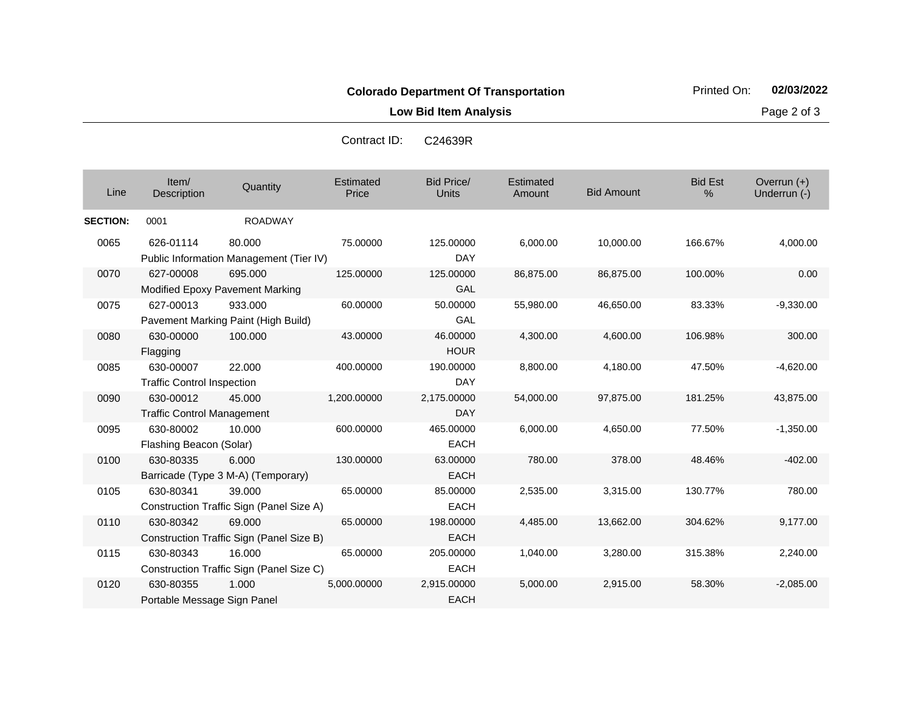**Low Bid Item Analysis Page 2 of 3** 

| Contract ID:<br>C24639R |
|-------------------------|
|-------------------------|

| Line            | Item/<br>Description                           | Quantity                                           | Estimated<br>Price | <b>Bid Price/</b><br><b>Units</b> | Estimated<br>Amount | <b>Bid Amount</b> | <b>Bid Est</b><br>$\%$ | Overrun $(+)$<br>Underrun (-) |
|-----------------|------------------------------------------------|----------------------------------------------------|--------------------|-----------------------------------|---------------------|-------------------|------------------------|-------------------------------|
| <b>SECTION:</b> | 0001                                           | <b>ROADWAY</b>                                     |                    |                                   |                     |                   |                        |                               |
| 0065            | 626-01114                                      | 80,000<br>Public Information Management (Tier IV)  | 75.00000           | 125.00000<br><b>DAY</b>           | 6,000.00            | 10,000.00         | 166.67%                | 4,000.00                      |
| 0070            | 627-00008                                      | 695.000<br>Modified Epoxy Pavement Marking         | 125.00000          | 125.00000<br>GAL                  | 86,875.00           | 86,875.00         | 100.00%                | 0.00                          |
| 0075            | 627-00013                                      | 933.000<br>Pavement Marking Paint (High Build)     | 60.00000           | 50.00000<br>GAL                   | 55,980.00           | 46,650.00         | 83.33%                 | $-9,330.00$                   |
| 0080            | 630-00000<br>Flagging                          | 100.000                                            | 43.00000           | 46.00000<br><b>HOUR</b>           | 4,300.00            | 4,600.00          | 106.98%                | 300.00                        |
| 0085            | 630-00007<br><b>Traffic Control Inspection</b> | 22.000                                             | 400.00000          | 190.00000<br>DAY                  | 8,800.00            | 4,180.00          | 47.50%                 | $-4,620.00$                   |
| 0090            | 630-00012<br><b>Traffic Control Management</b> | 45,000                                             | 1,200.00000        | 2,175.00000<br><b>DAY</b>         | 54,000.00           | 97,875.00         | 181.25%                | 43,875.00                     |
| 0095            | 630-80002<br>Flashing Beacon (Solar)           | 10.000                                             | 600.00000          | 465.00000<br><b>EACH</b>          | 6,000.00            | 4,650.00          | 77.50%                 | $-1,350.00$                   |
| 0100            | 630-80335                                      | 6.000<br>Barricade (Type 3 M-A) (Temporary)        | 130.00000          | 63.00000<br><b>EACH</b>           | 780.00              | 378.00            | 48.46%                 | $-402.00$                     |
| 0105            | 630-80341                                      | 39.000<br>Construction Traffic Sign (Panel Size A) | 65.00000           | 85.00000<br><b>EACH</b>           | 2,535.00            | 3,315.00          | 130.77%                | 780.00                        |
| 0110            | 630-80342                                      | 69.000<br>Construction Traffic Sign (Panel Size B) | 65.00000           | 198.00000<br><b>EACH</b>          | 4,485.00            | 13,662.00         | 304.62%                | 9,177.00                      |
| 0115            | 630-80343                                      | 16.000<br>Construction Traffic Sign (Panel Size C) | 65.00000           | 205.00000<br><b>EACH</b>          | 1,040.00            | 3,280.00          | 315.38%                | 2,240.00                      |
| 0120            | 630-80355<br>Portable Message Sign Panel       | 1.000                                              | 5,000.00000        | 2,915.00000<br><b>EACH</b>        | 5,000.00            | 2,915.00          | 58.30%                 | $-2,085.00$                   |